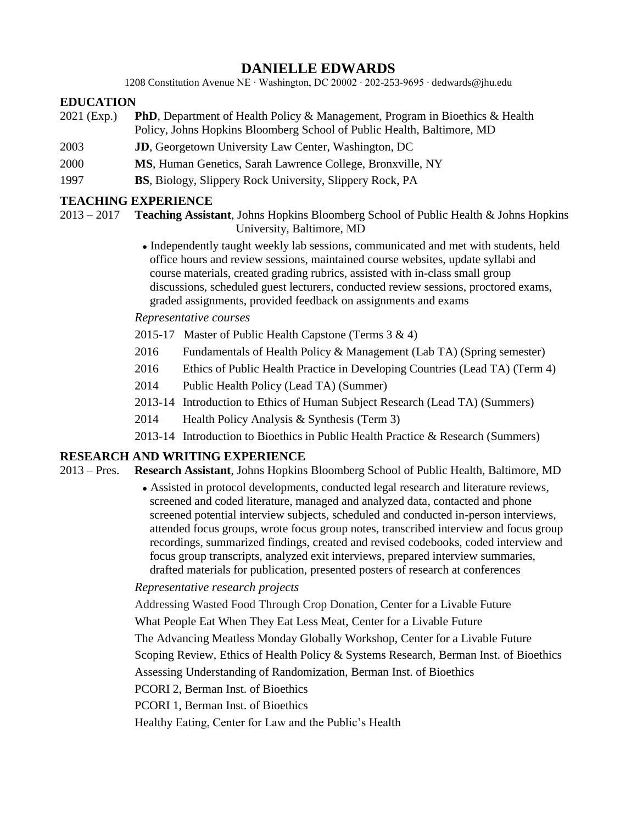# **DANIELLE EDWARDS**

1208 Constitution Avenue NE ∙ Washington, DC 20002 ∙ 202-253-9695 ∙ dedwards@jhu.edu

### **EDUCATION**

- 2021 (Exp.) **PhD**, Department of Health Policy & Management, Program in Bioethics & Health Policy, Johns Hopkins Bloomberg School of Public Health, Baltimore, MD
- 2003 **JD**, Georgetown University Law Center, Washington, DC
- 2000 **MS**, Human Genetics, Sarah Lawrence College, Bronxville, NY
- 1997 **BS**, Biology, Slippery Rock University, Slippery Rock, PA

### **TEACHING EXPERIENCE**

- 2013 2017 **Teaching Assistant**, Johns Hopkins Bloomberg School of Public Health & Johns Hopkins University, Baltimore, MD
	- Independently taught weekly lab sessions, communicated and met with students, held office hours and review sessions, maintained course websites, update syllabi and course materials, created grading rubrics, assisted with in-class small group discussions, scheduled guest lecturers, conducted review sessions, proctored exams, graded assignments, provided feedback on assignments and exams

*Representative courses*

- 2015-17 Master of Public Health Capstone (Terms 3 & 4)
- 2016 Fundamentals of Health Policy & Management (Lab TA) (Spring semester)
- 2016 Ethics of Public Health Practice in Developing Countries (Lead TA) (Term 4)
- 2014 Public Health Policy (Lead TA) (Summer)
- 2013-14 Introduction to Ethics of Human Subject Research (Lead TA) (Summers)
- 2014 Health Policy Analysis & Synthesis (Term 3)
- 2013-14 Introduction to Bioethics in Public Health Practice & Research (Summers)

### **RESEARCH AND WRITING EXPERIENCE**

- 2013 Pres. **Research Assistant**, Johns Hopkins Bloomberg School of Public Health, Baltimore, MD
	- Assisted in protocol developments, conducted legal research and literature reviews, screened and coded literature, managed and analyzed data, contacted and phone screened potential interview subjects, scheduled and conducted in-person interviews, attended focus groups, wrote focus group notes, transcribed interview and focus group recordings, summarized findings, created and revised codebooks, coded interview and focus group transcripts, analyzed exit interviews, prepared interview summaries, drafted materials for publication, presented posters of research at conferences

### *Representative research projects*

Addressing Wasted Food Through Crop Donation, Center for a Livable Future What People Eat When They Eat Less Meat, Center for a Livable Future The Advancing Meatless Monday Globally Workshop, Center for a Livable Future Scoping Review, Ethics of Health Policy & Systems Research, Berman Inst. of Bioethics Assessing Understanding of Randomization, Berman Inst. of Bioethics PCORI 2, Berman Inst. of Bioethics PCORI 1, Berman Inst. of Bioethics

Healthy Eating, Center for Law and the Public's Health